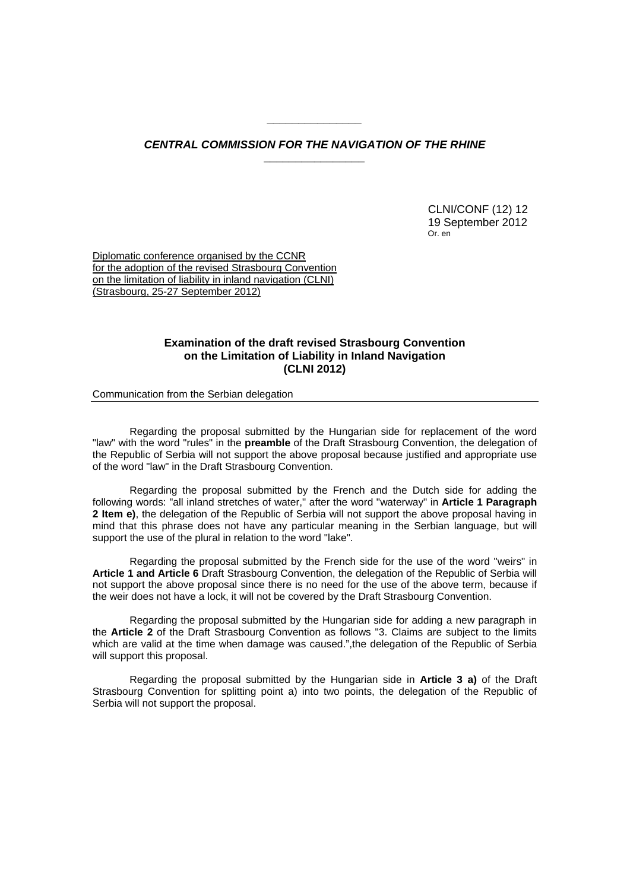## *CENTRAL COMMISSION FOR THE NAVIGATION OF THE RHINE \_\_\_\_\_\_\_\_\_\_\_\_\_\_\_\_*

*\_\_\_\_\_\_\_\_\_\_\_\_\_\_\_* 

 CLNI/CONF (12) 12 19 September 2012 Or. en

Diplomatic conference organised by the CCNR for the adoption of the revised Strasbourg Convention on the limitation of liability in inland navigation (CLNI) (Strasbourg, 25-27 September 2012)

## **Examination of the draft revised Strasbourg Convention on the Limitation of Liability in Inland Navigation (CLNI 2012)**

Communication from the Serbian delegation

Regarding the proposal submitted by the Hungarian side for replacement of the word "law" with the word "rules" in the **preamble** of the Draft Strasbourg Convention, the delegation of the Republic of Serbia will not support the above proposal because justified and appropriate use of the word "law" in the Draft Strasbourg Convention.

Regarding the proposal submitted by the French and the Dutch side for adding the following words: "all inland stretches of water," after the word "waterway" in **Article 1 Paragraph 2 Item e)**, the delegation of the Republic of Serbia will not support the above proposal having in mind that this phrase does not have any particular meaning in the Serbian language, but will support the use of the plural in relation to the word "lake".

Regarding the proposal submitted by the French side for the use of the word "weirs" in **Article 1 and Article 6** Draft Strasbourg Convention, the delegation of the Republic of Serbia will not support the above proposal since there is no need for the use of the above term, because if the weir does not have a lock, it will not be covered by the Draft Strasbourg Convention.

Regarding the proposal submitted by the Hungarian side for adding a new paragraph in the **Article 2** of the Draft Strasbourg Convention as follows "3. Claims are subject to the limits which are valid at the time when damage was caused.",the delegation of the Republic of Serbia will support this proposal.

Regarding the proposal submitted by the Hungarian side in **Article 3 a)** of the Draft Strasbourg Convention for splitting point a) into two points, the delegation of the Republic of Serbia will not support the proposal.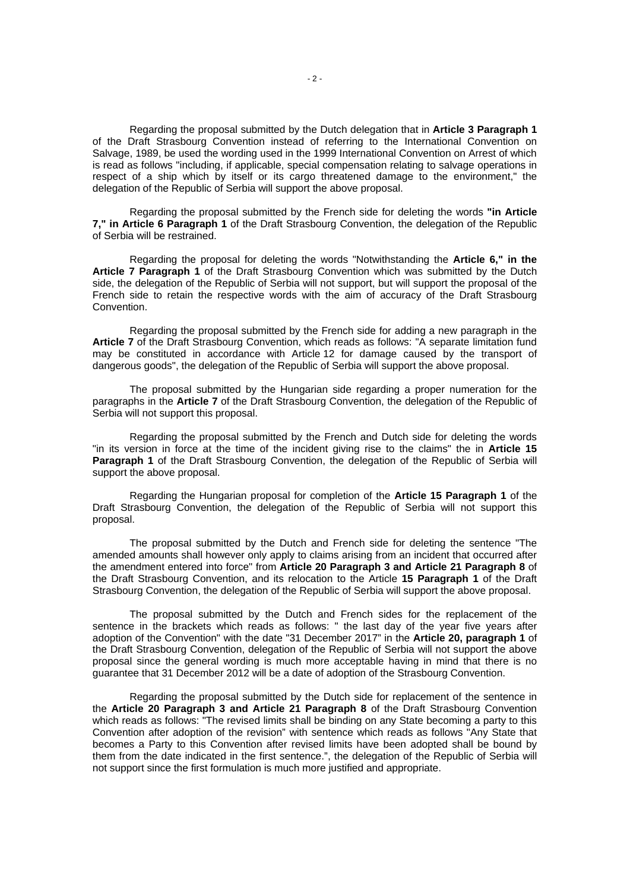Regarding the proposal submitted by the Dutch delegation that in **Article 3 Paragraph 1** of the Draft Strasbourg Convention instead of referring to the International Convention on Salvage, 1989, be used the wording used in the 1999 International Convention on Arrest of which is read as follows "including, if applicable, special compensation relating to salvage operations in respect of a ship which by itself or its cargo threatened damage to the environment," the delegation of the Republic of Serbia will support the above proposal.

Regarding the proposal submitted by the French side for deleting the words **"in Article 7," in Article 6 Paragraph 1** of the Draft Strasbourg Convention, the delegation of the Republic of Serbia will be restrained.

Regarding the proposal for deleting the words "Notwithstanding the **Article 6," in the Article 7 Paragraph 1** of the Draft Strasbourg Convention which was submitted by the Dutch side, the delegation of the Republic of Serbia will not support, but will support the proposal of the French side to retain the respective words with the aim of accuracy of the Draft Strasbourg Convention.

Regarding the proposal submitted by the French side for adding a new paragraph in the **Article 7** of the Draft Strasbourg Convention, which reads as follows: "A separate limitation fund may be constituted in accordance with Article 12 for damage caused by the transport of dangerous goods", the delegation of the Republic of Serbia will support the above proposal.

The proposal submitted by the Hungarian side regarding a proper numeration for the paragraphs in the **Article 7** of the Draft Strasbourg Convention, the delegation of the Republic of Serbia will not support this proposal.

Regarding the proposal submitted by the French and Dutch side for deleting the words "in its version in force at the time of the incident giving rise to the claims" the in **Article 15 Paragraph 1** of the Draft Strasbourg Convention, the delegation of the Republic of Serbia will support the above proposal.

Regarding the Hungarian proposal for completion of the **Article 15 Paragraph 1** of the Draft Strasbourg Convention, the delegation of the Republic of Serbia will not support this proposal.

The proposal submitted by the Dutch and French side for deleting the sentence "The amended amounts shall however only apply to claims arising from an incident that occurred after the amendment entered into force" from **Article 20 Paragraph 3 and Article 21 Paragraph 8** of the Draft Strasbourg Convention, and its relocation to the Article **15 Paragraph 1** of the Draft Strasbourg Convention, the delegation of the Republic of Serbia will support the above proposal.

The proposal submitted by the Dutch and French sides for the replacement of the sentence in the brackets which reads as follows: " the last day of the year five years after adoption of the Convention" with the date "31 December 2017" in the **Article 20, paragraph 1** of the Draft Strasbourg Convention, delegation of the Republic of Serbia will not support the above proposal since the general wording is much more acceptable having in mind that there is no guarantee that 31 December 2012 will be a date of adoption of the Strasbourg Convention.

Regarding the proposal submitted by the Dutch side for replacement of the sentence in the **Article 20 Paragraph 3 and Article 21 Paragraph 8** of the Draft Strasbourg Convention which reads as follows: "The revised limits shall be binding on any State becoming a party to this Convention after adoption of the revision" with sentence which reads as follows "Any State that becomes a Party to this Convention after revised limits have been adopted shall be bound by them from the date indicated in the first sentence.", the delegation of the Republic of Serbia will not support since the first formulation is much more justified and appropriate.